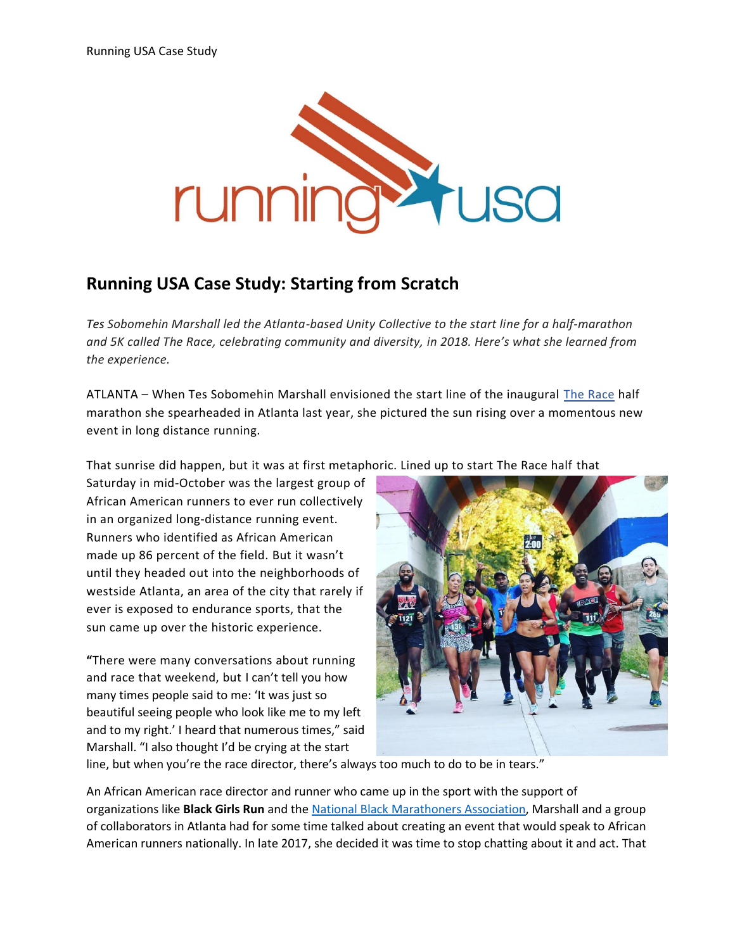

## **Running USA Case Study: Starting from Scratch**

*Tes Sobomehin Marshall led the Atlanta-based Unity Collective to the start line for a half-marathon and 5K called The Race, celebrating community and diversity, in 2018. Here's what she learned from the experience.*

ATLANTA – When Tes Sobomehin Marshall envisioned the start line of the inaugural [The Race](https://www.active.com/east-point-ga/running/distance-running-races/the-race-2019) half marathon she spearheaded in Atlanta last year, she pictured the sun rising over a momentous new event in long distance running.

That sunrise did happen, but it was at first metaphoric. Lined up to start The Race half that

Saturday in mid-October was the largest group of African American runners to ever run collectively in an organized long-distance running event. Runners who identified as African American made up 86 percent of the field. But it wasn't until they headed out into the neighborhoods of westside Atlanta, an area of the city that rarely if ever is exposed to endurance sports, that the sun came up over the historic experience.

**"**There were many conversations about running and race that weekend, but I can't tell you how many times people said to me: 'It was just so beautiful seeing people who look like me to my left and to my right.' I heard that numerous times," said Marshall. "I also thought I'd be crying at the start



line, but when you're the race director, there's always too much to do to be in tears."

An African American race director and runner who came up in the sport with the support of organizations like **Black Girls Run** and th[e National Black Marathoners Association,](http://www.blackmarathoners.org/) Marshall and a group of collaborators in Atlanta had for some time talked about creating an event that would speak to African American runners nationally. In late 2017, she decided it was time to stop chatting about it and act. That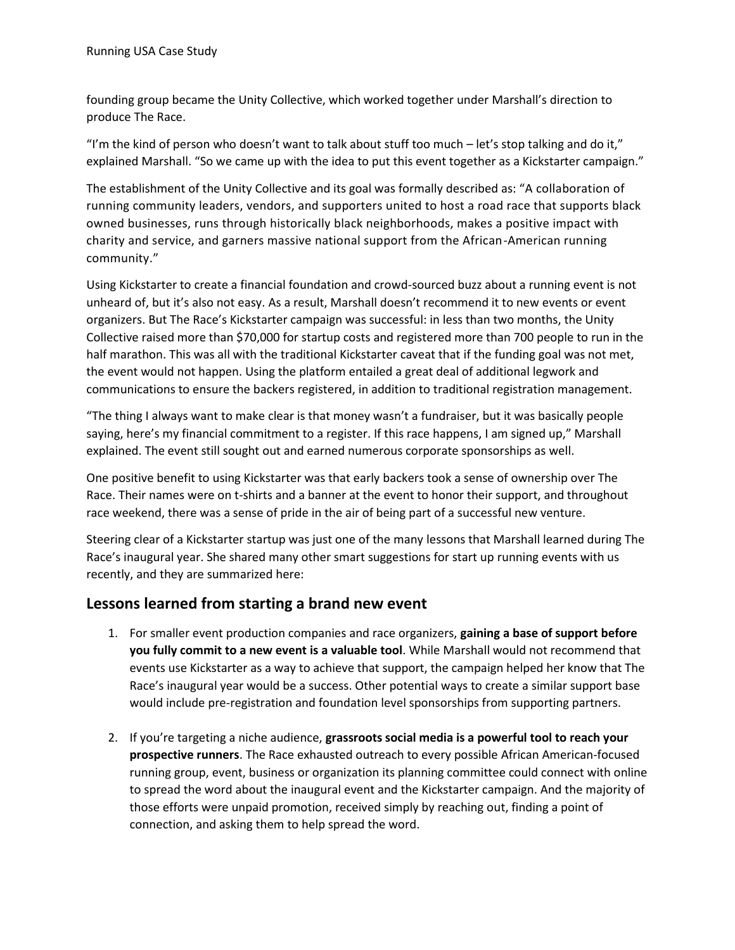founding group became the Unity Collective, which worked together under Marshall's direction to produce The Race.

"I'm the kind of person who doesn't want to talk about stuff too much  $-$  let's stop talking and do it," explained Marshall. "So we came up with the idea to put this event together as a Kickstarter campaign."

The establishment of the Unity Collective and its goal was formally described as: "A collaboration of running community leaders, vendors, and supporters united to host a road race that supports black owned businesses, runs through historically black neighborhoods, makes a positive impact with charity and service, and garners massive national support from the African-American running community."

Using Kickstarter to create a financial foundation and crowd-sourced buzz about a running event is not unheard of, but it's also not easy. As a result, Marshall doesn't recommend it to new events or event organizers. But The Race's Kickstarter campaign was successful: in less than two months, the Unity Collective raised more than \$70,000 for startup costs and registered more than 700 people to run in the half marathon. This was all with the traditional Kickstarter caveat that if the funding goal was not met, the event would not happen. Using the platform entailed a great deal of additional legwork and communications to ensure the backers registered, in addition to traditional registration management.

"The thing I always want to make clear is that money wasn't a fundraiser, but it was basically people saying, here's my financial commitment to a register. If this race happens, I am signed up," Marshall explained. The event still sought out and earned numerous corporate sponsorships as well.

One positive benefit to using Kickstarter was that early backers took a sense of ownership over The Race. Their names were on t-shirts and a banner at the event to honor their support, and throughout race weekend, there was a sense of pride in the air of being part of a successful new venture.

Steering clear of a Kickstarter startup was just one of the many lessons that Marshall learned during The Race's inaugural year. She shared many other smart suggestions for start up running events with us recently, and they are summarized here:

## **Lessons learned from starting a brand new event**

- 1. For smaller event production companies and race organizers, **gaining a base of support before you fully commit to a new event is a valuable tool**. While Marshall would not recommend that events use Kickstarter as a way to achieve that support, the campaign helped her know that The Race's inaugural year would be a success. Other potential ways to create a similar support base would include pre-registration and foundation level sponsorships from supporting partners.
- 2. If you're targeting a niche audience, **grassroots social media is a powerful tool to reach your prospective runners**. The Race exhausted outreach to every possible African American-focused running group, event, business or organization its planning committee could connect with online to spread the word about the inaugural event and the Kickstarter campaign. And the majority of those efforts were unpaid promotion, received simply by reaching out, finding a point of connection, and asking them to help spread the word.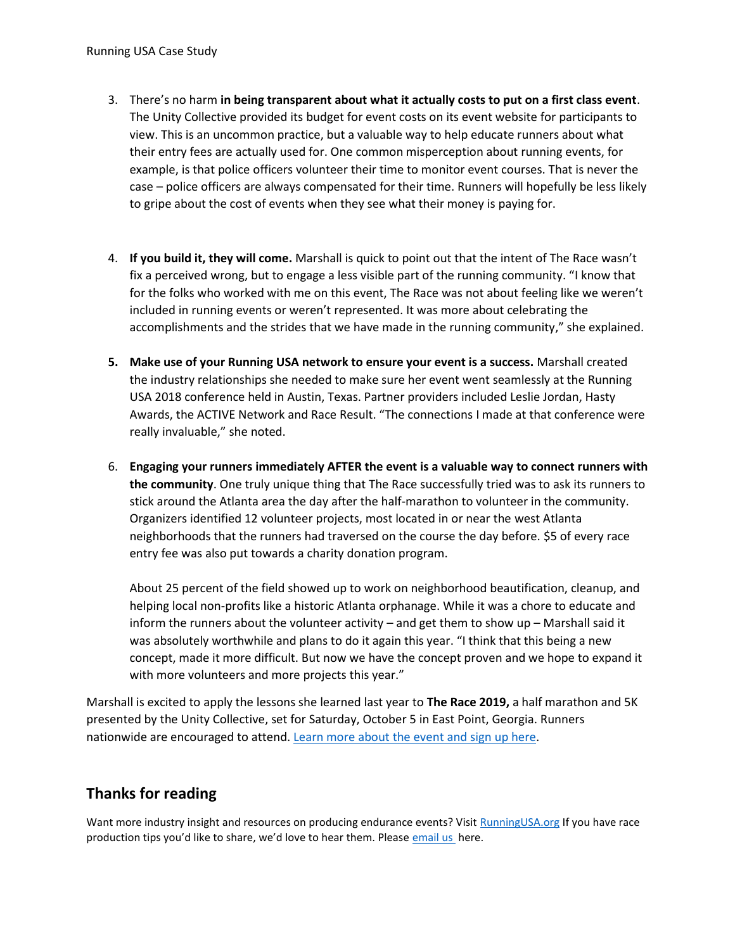- 3. There's no harm **in being transparent about what it actually costs to put on a first class event**. The Unity Collective provided its budget for event costs on its event website for participants to view. This is an uncommon practice, but a valuable way to help educate runners about what their entry fees are actually used for. One common misperception about running events, for example, is that police officers volunteer their time to monitor event courses. That is never the case – police officers are always compensated for their time. Runners will hopefully be less likely to gripe about the cost of events when they see what their money is paying for.
- 4. **If you build it, they will come.** Marshall is quick to point out that the intent of The Race wasn't fix a perceived wrong, but to engage a less visible part of the running community. "I know that for the folks who worked with me on this event, The Race was not about feeling like we weren't included in running events or weren't represented. It was more about celebrating the accomplishments and the strides that we have made in the running community," she explained.
- **5. Make use of your Running USA network to ensure your event is a success.** Marshall created the industry relationships she needed to make sure her event went seamlessly at the Running USA 2018 conference held in Austin, Texas. Partner providers included Leslie Jordan, Hasty Awards, the ACTIVE Network and Race Result. "The connections I made at that conference were really invaluable," she noted.
- 6. **Engaging your runners immediately AFTER the event is a valuable way to connect runners with the community**. One truly unique thing that The Race successfully tried was to ask its runners to stick around the Atlanta area the day after the half-marathon to volunteer in the community. Organizers identified 12 volunteer projects, most located in or near the west Atlanta neighborhoods that the runners had traversed on the course the day before. \$5 of every race entry fee was also put towards a charity donation program.

About 25 percent of the field showed up to work on neighborhood beautification, cleanup, and helping local non-profits like a historic Atlanta orphanage. While it was a chore to educate and inform the runners about the volunteer activity – and get them to show up – Marshall said it was absolutely worthwhile and plans to do it again this year. "I think that this being a new concept, made it more difficult. But now we have the concept proven and we hope to expand it with more volunteers and more projects this year."

Marshall is excited to apply the lessons she learned last year to **The Race 2019,** a half marathon and 5K presented by the Unity Collective, set for Saturday, October 5 in East Point, Georgia. Runners nationwide are encouraged to attend. [Learn more about the event](https://www.active.com/east-point-ga/running/distance-running-races/the-race-2019) and sign up here.

## **Thanks for reading**

Want more industry insight and resources on producing endurance events? Visit [RunningUSA.org](https://www.runningusa.org/) If you have race production tips you'd like to share, we'd love to hear them. Please [email us h](mailto:leah@runningusa.org)ere.